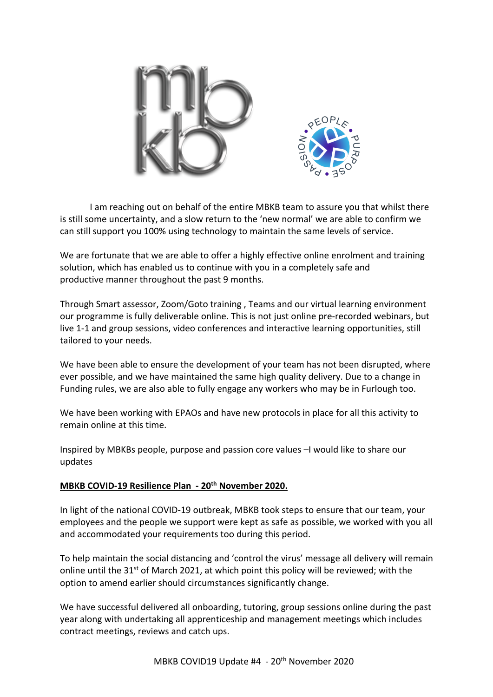

I am reaching out on behalf of the entire MBKB team to assure you that whilst there is still some uncertainty, and a slow return to the 'new normal' we are able to confirm we can still support you 100% using technology to maintain the same levels of service.

We are fortunate that we are able to offer a highly effective online enrolment and training solution, which has enabled us to continue with you in a completely safe and productive manner throughout the past 9 months.

Through Smart assessor, Zoom/Goto training , Teams and our virtual learning environment our programme is fully deliverable online. This is not just online pre-recorded webinars, but live 1-1 and group sessions, video conferences and interactive learning opportunities, still tailored to your needs.

We have been able to ensure the development of your team has not been disrupted, where ever possible, and we have maintained the same high quality delivery. Due to a change in Funding rules, we are also able to fully engage any workers who may be in Furlough too.

We have been working with EPAOs and have new protocols in place for all this activity to remain online at this time.

Inspired by MBKBs people, purpose and passion core values –I would like to share our updates

# **MBKB COVID-19 Resilience Plan - 20th November 2020.**

In light of the national COVID-19 outbreak, MBKB took steps to ensure that our team, your employees and the people we support were kept as safe as possible, we worked with you all and accommodated your requirements too during this period.

To help maintain the social distancing and 'control the virus' message all delivery will remain online until the  $31^{st}$  of March 2021, at which point this policy will be reviewed; with the option to amend earlier should circumstances significantly change.

We have successful delivered all onboarding, tutoring, group sessions online during the past year along with undertaking all apprenticeship and management meetings which includes contract meetings, reviews and catch ups.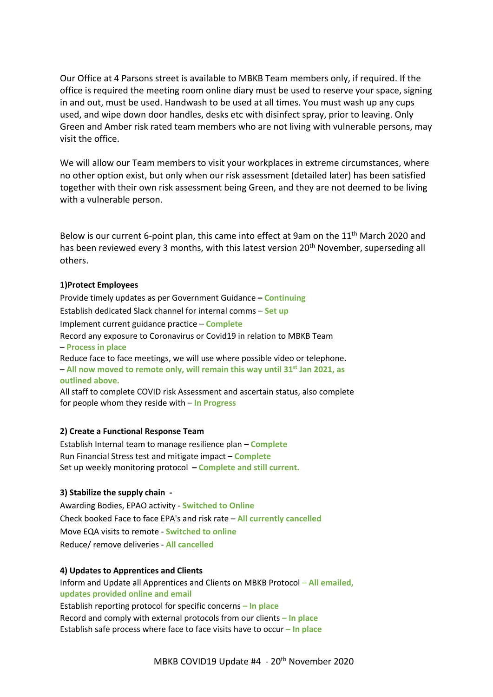Our Office at 4 Parsons street is available to MBKB Team members only, if required. If the office is required the meeting room online diary must be used to reserve your space, signing in and out, must be used. Handwash to be used at all times. You must wash up any cups used, and wipe down door handles, desks etc with disinfect spray, prior to leaving. Only Green and Amber risk rated team members who are not living with vulnerable persons, may visit the office.

We will allow our Team members to visit your workplaces in extreme circumstances, where no other option exist, but only when our risk assessment (detailed later) has been satisfied together with their own risk assessment being Green, and they are not deemed to be living with a vulnerable person.

Below is our current 6-point plan, this came into effect at 9am on the 11<sup>th</sup> March 2020 and has been reviewed every 3 months, with this latest version 20<sup>th</sup> November, superseding all others.

### **1)Protect Employees**

Provide timely updates as per Government Guidance **– Continuing** Establish dedicated Slack channel for internal comms – **Set up** Implement current guidance practice – **Complete** Record any exposure to Coronavirus or Covid19 in relation to MBKB Team – **Process in place** Reduce face to face meetings, we will use where possible video or telephone. – **All now moved to remote only, will remain this way until 31st Jan 2021, as outlined above.**

All staff to complete COVID risk Assessment and ascertain status, also complete for people whom they reside with – **In Progress**

## **2) Create a Functional Response Team**

Establish Internal team to manage resilience plan **– Complete** Run Financial Stress test and mitigate impact **– Complete** Set up weekly monitoring protocol **– Complete and still current.**

## **3) Stabilize the supply chain -**

Awarding Bodies, EPAO activity - **Switched to Online**  Check booked Face to face EPA's and risk rate – **All currently cancelled** Move EQA visits to remote - **Switched to online**  Reduce/ remove deliveries - **All cancelled**

#### **4) Updates to Apprentices and Clients**

Inform and Update all Apprentices and Clients on MBKB Protocol – **All emailed, updates provided online and email** Establish reporting protocol for specific concerns **– In place** Record and comply with external protocols from our clients **– In place** Establish safe process where face to face visits have to occur **– In place**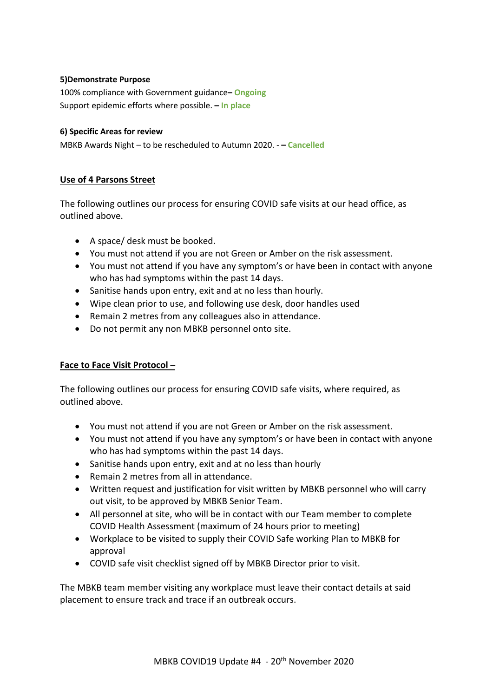## **5)Demonstrate Purpose**

100% compliance with Government guidance**– Ongoing** Support epidemic efforts where possible. **– In place**

## **6) Specific Areas for review**

MBKB Awards Night – to be rescheduled to Autumn 2020. - **– Cancelled**

# **Use of 4 Parsons Street**

The following outlines our process for ensuring COVID safe visits at our head office, as outlined above.

- A space/ desk must be booked.
- You must not attend if you are not Green or Amber on the risk assessment.
- You must not attend if you have any symptom's or have been in contact with anyone who has had symptoms within the past 14 days.
- Sanitise hands upon entry, exit and at no less than hourly.
- Wipe clean prior to use, and following use desk, door handles used
- Remain 2 metres from any colleagues also in attendance.
- Do not permit any non MBKB personnel onto site.

# **Face to Face Visit Protocol –**

The following outlines our process for ensuring COVID safe visits, where required, as outlined above.

- You must not attend if you are not Green or Amber on the risk assessment.
- You must not attend if you have any symptom's or have been in contact with anyone who has had symptoms within the past 14 days.
- Sanitise hands upon entry, exit and at no less than hourly
- Remain 2 metres from all in attendance.
- Written request and justification for visit written by MBKB personnel who will carry out visit, to be approved by MBKB Senior Team.
- All personnel at site, who will be in contact with our Team member to complete COVID Health Assessment (maximum of 24 hours prior to meeting)
- Workplace to be visited to supply their COVID Safe working Plan to MBKB for approval
- COVID safe visit checklist signed off by MBKB Director prior to visit.

The MBKB team member visiting any workplace must leave their contact details at said placement to ensure track and trace if an outbreak occurs.